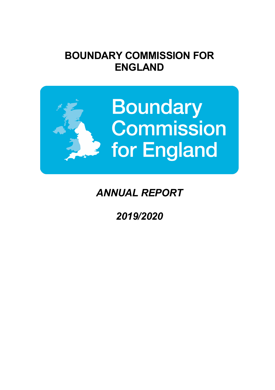# **BOUNDARY COMMISSION FOR ENGLAND**



# *ANNUAL REPORT*

*2019/2020*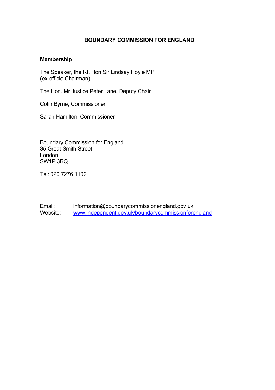### **BOUNDARY COMMISSION FOR ENGLAND**

#### **Membership**

The Speaker, the Rt. Hon Sir Lindsay Hoyle MP (ex-officio Chairman)

The Hon. Mr Justice Peter Lane, Deputy Chair

Colin Byrne, Commissioner

Sarah Hamilton, Commissioner

Boundary Commission for England 35 Great Smith Street London SW1P 3BQ

Tel: 020 7276 1102

Email: information@boundarycommissionengland.gov.uk Website: www.independent.gov.uk/boundarycommissionforengland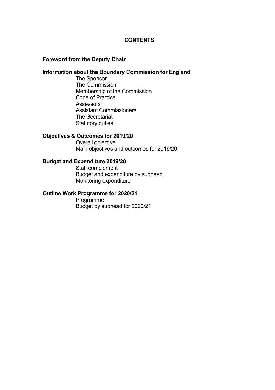#### **CONTENTS**

#### **Foreword from the Deputy Chair**

## **Information about the Boundary Commission for England**

The Sponsor The Commission Membership of the Commission Code of Practice **Assessors** Assistant Commissioners The Secretariat Statutory duties

#### **Objectives & Outcomes for 2019/20**

Overall objective Main objectives and outcomes for 2019/20

#### **Budget and Expenditure 2019/20**

Staff complement Budget and expenditure by subhead Monitoring expenditure

## **Outline Work Programme for 2020/21**

Programme Budget by subhead for 2020/21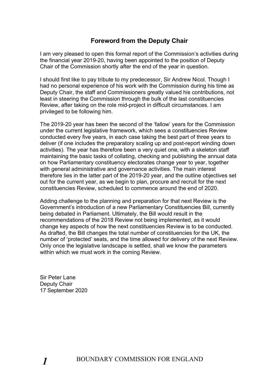## **Foreword from the Deputy Chair**

I am very pleased to open this formal report of the Commission's activities during the financial year 2019-20, having been appointed to the position of Deputy Chair of the Commission shortly after the end of the year in question.

I should first like to pay tribute to my predecessor, Sir Andrew Nicol. Though I had no personal experience of his work with the Commission during his time as Deputy Chair, the staff and Commissioners greatly valued his contributions, not least in steering the Commission through the bulk of the last constituencies Review, after taking on the role mid-project in difficult circumstances. I am privileged to be following him.

The 2019-20 year has been the second of the 'fallow' years for the Commission under the current legislative framework, which sees a constituencies Review conducted every five years, in each case taking the best part of three years to deliver (if one includes the preparatory scaling up and post-report winding down activities). The year has therefore been a very quiet one, with a skeleton staff maintaining the basic tasks of collating, checking and publishing the annual data on how Parliamentary constituency electorates change year to year, together with general administrative and governance activities. The main interest therefore lies in the latter part of the 2019-20 year, and the outline objectives set out for the current year, as we begin to plan, procure and recruit for the next constituencies Review, scheduled to commence around the end of 2020.

Adding challenge to the planning and preparation for that next Review is the Government's introduction of a new Parliamentary Constituencies Bill, currently being debated in Parliament. Ultimately, the Bill would result in the recommendations of the 2018 Review not being implemented, as it would change key aspects of how the next constituencies Review is to be conducted. As drafted, the Bill changes the total number of constituencies for the UK, the number of 'protected' seats, and the time allowed for delivery of the next Review. Only once the legislative landscape is settled, shall we know the parameters within which we must work in the coming Review.

Sir Peter Lane Deputy Chair 17 September 2020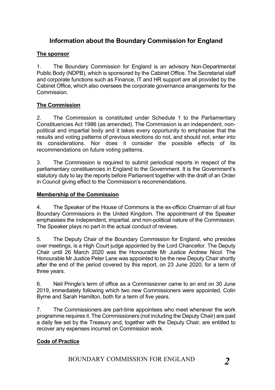## **Information about the Boundary Commission for England**

## **The sponsor**

1. The Boundary Commission for England is an advisory Non-Departmental Public Body (NDPB), which is sponsored by the Cabinet Office. The Secretariat staff and corporate functions such as Finance, IT and HR support are all provided by the Cabinet Office, which also oversees the corporate governance arrangements for the Commission.

## **The Commission**

2. The Commission is constituted under Schedule 1 to the Parliamentary Constituencies Act 1986 (as amended). The Commission is an independent, nonpolitical and impartial body and it takes every opportunity to emphasise that the results and voting patterns of previous elections do not, and should not, enter into its considerations. Nor does it consider the possible effects of its recommendations on future voting patterns.

3. The Commission is required to submit periodical reports in respect of the parliamentary constituencies in England to the Government. It is the Government's statutory duty to lay the reports before Parliament together with the draft of an Order in Council giving effect to the Commission's recommendations.

## **Membership of the Commission**

4. The Speaker of the House of Commons is the ex-officio Chairman of all four Boundary Commissions in the United Kingdom. The appointment of the Speaker emphasises the independent, impartial, and non-political nature of the Commission. The Speaker plays no part in the actual conduct of reviews.

5. The Deputy Chair of the Boundary Commission for England, who presides over meetings, is a High Court judge appointed by the Lord Chancellor. The Deputy Chair until 26 March 2020 was the Honourable Mr Justice Andrew Nicol. The Honourable Mr Justice Peter Lane was appointed to be the new Deputy Chair shortly after the end of the period covered by this report, on 23 June 2020, for a term of three years.

6. Neil Pringle's term of office as a Commissioner came to an end on 30 June 2019, immediately following which two new Commissioners were appointed, Colin Byrne and Sarah Hamilton, both for a term of five years.

7. The Commissioners are part-time appointees who meet whenever the work programme requires it. The Commissioners (not including the Deputy Chair) are paid a daily fee set by the Treasury and, together with the Deputy Chair, are entitled to recover any expenses incurred on Commission work.

## **Code of Practice**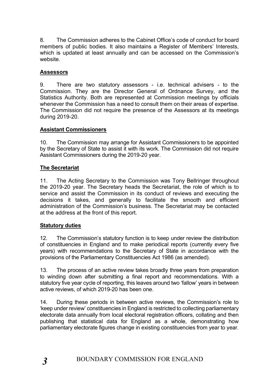8. The Commission adheres to the Cabinet Office's code of conduct for board members of public bodies. It also maintains a Register of Members' Interests, which is updated at least annually and can be accessed on the Commission's website.

## **Assessors**

9. There are two statutory assessors - i.e. technical advisers - to the Commission. They are the Director General of Ordnance Survey, and the Statistics Authority. Both are represented at Commission meetings by officials whenever the Commission has a need to consult them on their areas of expertise. The Commission did not require the presence of the Assessors at its meetings during 2019-20.

## **Assistant Commissioners**

10. The Commission may arrange for Assistant Commissioners to be appointed by the Secretary of State to assist it with its work. The Commission did not require Assistant Commissioners during the 2019-20 year.

## **The Secretariat**

11. The Acting Secretary to the Commission was Tony Bellringer throughout the 2019-20 year. The Secretary heads the Secretariat, the role of which is to service and assist the Commission in its conduct of reviews and executing the decisions it takes, and generally to facilitate the smooth and efficient administration of the Commission's business. The Secretariat may be contacted at the address at the front of this report.

## **Statutory duties**

12. The Commission's statutory function is to keep under review the distribution of constituencies in England and to make periodical reports (currently every five years) with recommendations to the Secretary of State in accordance with the provisions of the Parliamentary Constituencies Act 1986 (as amended).

13. The process of an active review takes broadly three years from preparation to winding down after submitting a final report and recommendations. With a statutory five year cycle of reporting, this leaves around two 'fallow' years in between active reviews, of which 2019-20 has been one.

14. During these periods in between active reviews, the Commission's role to 'keep under review' constituencies in England is restricted to collecting parliamentary electorate data annually from local electoral registration officers, collating and then publishing that statistical data for England as a whole, demonstrating how parliamentary electorate figures change in existing constituencies from year to year.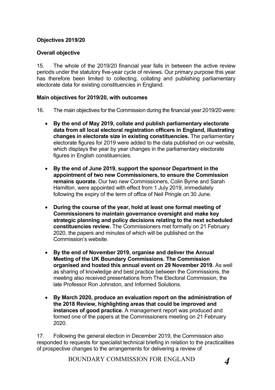## **Objectives 2019/20**

## **Overall objective**

15. The whole of the 2019/20 financial year falls in between the active review periods under the statutory five-year cycle of reviews. Our primary purpose this year has therefore been limited to collecting, collating and publishing parliamentary electorate data for existing constituencies in England.

#### **Main objectives for 2019/20, with outcomes**

- 16. The main objectives for the Commission during the financial year 2019/20 were:
	- **By the end of May 2019, collate and publish parliamentary electorate data from all local electoral registration officers in England, illustrating changes in electorate size in existing constituencies.** The parliamentary electorate figures for 2019 were added to the data published on our website, which displays the year by year changes in the parliamentary electorate figures in English constituencies.
	- **By the end of June 2019, support the sponsor Department in the appointment of two new Commissioners, to ensure the Commission remains quorate.** Our two new Commissioners, Colin Byrne and Sarah Hamilton, were appointed with effect from 1 July 2019, immediately following the expiry of the term of office of Neil Pringle on 30 June.
	- **During the course of the year, hold at least one formal meeting of Commissioners to maintain governance oversight and make key strategic planning and policy decisions relating to the next scheduled constituencies review.** The Commissioners met formally on 21 February 2020, the papers and minutes of which will be published on the Commission's website.
	- **By the end of November 2019, organise and deliver the Annual Meeting of the UK Boundary Commissions. The Commission organised and hosted this annual event on 29 November 2019.** As well as sharing of knowledge and best practice between the Commissions, the meeting also received presentations from The Electoral Commission, the late Professor Ron Johnston, and Informed Solutions.
	- **By March 2020, produce an evaluation report on the administration of the 2018 Review, highlighting areas that could be improved and instances of good practice.** A management report was produced and formed one of the papers at the Commissioners meeting on 21 February 2020.

17. Following the general election in December 2019, the Commission also responded to requests for specialist technical briefing in relation to the practicalities of prospective changes to the arrangements for delivering a review of

BOUNDARY COMMISSION FOR ENGLAND *4*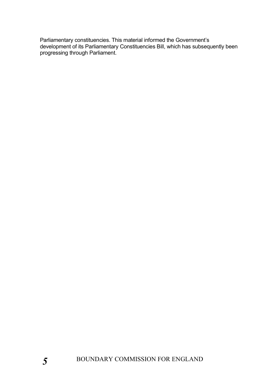Parliamentary constituencies. This material informed the Government's development of its Parliamentary Constituencies Bill, which has subsequently been progressing through Parliament.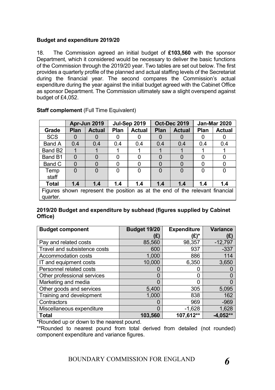## **Budget and expenditure 2019/20**

18. The Commission agreed an initial budget of **£103,560** with the sponsor Department, which it considered would be necessary to deliver the basic functions of the Commission through the 2019/20 year. Two tables are set out below. The first provides a quarterly profile of the planned and actual staffing levels of the Secretariat during the financial year. The second compares the Commission's actual expenditure during the year against the initial budget agreed with the Cabinet Office as sponsor Department. The Commission ultimately saw a slight overspend against budget of £4,052.

|                                                                              | Apr-Jun 2019   |               | <b>Jul-Sep 2019</b> |               | <b>Oct-Dec 2019</b> |               | <b>Jan-Mar 2020</b> |               |
|------------------------------------------------------------------------------|----------------|---------------|---------------------|---------------|---------------------|---------------|---------------------|---------------|
| Grade                                                                        | <b>Plan</b>    | <b>Actual</b> | <b>Plan</b>         | <b>Actual</b> | <b>Plan</b>         | <b>Actual</b> | <b>Plan</b>         | <b>Actual</b> |
| <b>SCS</b>                                                                   | $\Omega$       |               |                     | 0             | $\mathbf{O}$        | O             | $\mathbf{0}$        |               |
| Band A                                                                       | 0.4            | 0.4           | 0.4                 | 0.4           | 0.4                 | 0.4           | 0.4                 | 0.4           |
| Band B <sub>2</sub>                                                          |                |               |                     |               |                     |               |                     |               |
| Band B1                                                                      | $\overline{0}$ | 0             | O                   | 0             | 0                   | 0             | 0                   | 0             |
| Band C                                                                       | $\Omega$       | 0             | ∩                   | 0             | 0                   | 0             | 0                   | 0             |
| Temp                                                                         | $\Omega$       | 0             | 0                   | 0             | 0                   | $\Omega$      | 0                   | 0             |
| staff                                                                        |                |               |                     |               |                     |               |                     |               |
| <b>Total</b>                                                                 | 1.4            | 1.4           | 1.4                 | 1.4           | 1.4                 | 1.4           | 1.4                 | 1.4           |
| Figures shown represent the position as at the end of the relevant financial |                |               |                     |               |                     |               |                     |               |
| quarter.                                                                     |                |               |                     |               |                     |               |                     |               |

## **Staff complement** (Full Time Equivalent)

## **2019/20 Budget and expenditure by subhead (figures supplied by Cabinet Office)**

| <b>Budget component</b>      | <b>Budget 19/20</b> | <b>Expenditure</b> | <b>Variance</b> |
|------------------------------|---------------------|--------------------|-----------------|
|                              | (£)                 | (£)*               | (오)             |
| Pay and related costs        | 85,560              | 98,357             | $-12,797$       |
| Travel and subsistence costs | 600                 | 937                | $-337$          |
| <b>Accommodation costs</b>   | 1,000               | 886                | 114             |
| IT and equipment costs       | 10,000              | 6,350              | 3,650           |
| Personnel related costs      | O                   |                    |                 |
| Other professional services  | 0                   |                    |                 |
| Marketing and media          | 0                   | C                  |                 |
| Other goods and services     | 5,400               | 305                | 5,095           |
| Training and development     | 1,000               | 838                | 162             |
| Contractors                  | 0                   | 969                | $-969$          |
| Miscellaneous expenditure    | 0                   | $-1,628$           | 1,628           |
| <b>Total</b>                 | 103,560             | 107,612**          | $-4,052**$      |

\*Rounded up or down to the nearest pound.

\*\*Rounded to nearest pound from total derived from detailed (not rounded) component expenditure and variance figures.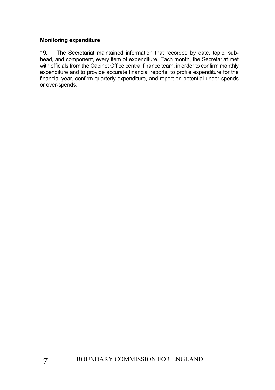## **Monitoring expenditure**

19. The Secretariat maintained information that recorded by date, topic, subhead, and component, every item of expenditure. Each month, the Secretariat met with officials from the Cabinet Office central finance team, in order to confirm monthly expenditure and to provide accurate financial reports, to profile expenditure for the financial year, confirm quarterly expenditure, and report on potential under-spends or over-spends.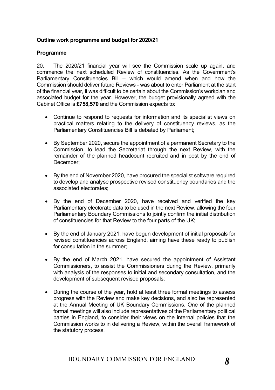## **Outline work programme and budget for 2020/21**

#### **Programme**

20. The 2020/21 financial year will see the Commission scale up again, and commence the next scheduled Review of constituencies. As the Government's Parliamentary Constituencies Bill – which would amend when and how the Commission should deliver future Reviews - was about to enter Parliament at the start of the financial year, it was difficult to be certain about the Commission's workplan and associated budget for the year. However, the budget provisionally agreed with the Cabinet Office is **£758,570** and the Commission expects to:

- Continue to respond to requests for information and its specialist views on practical matters relating to the delivery of constituency reviews, as the Parliamentary Constituencies Bill is debated by Parliament;
- By September 2020, secure the appointment of a permanent Secretary to the Commission, to lead the Secretariat through the next Review, with the remainder of the planned headcount recruited and in post by the end of December;
- By the end of November 2020, have procured the specialist software required to develop and analyse prospective revised constituency boundaries and the associated electorates;
- By the end of December 2020, have received and verified the key Parliamentary electorate data to be used in the next Review, allowing the four Parliamentary Boundary Commissions to jointly confirm the initial distribution of constituencies for that Review to the four parts of the UK;
- By the end of January 2021, have begun development of initial proposals for revised constituencies across England, aiming have these ready to publish for consultation in the summer;
- By the end of March 2021, have secured the appointment of Assistant Commissioners, to assist the Commissioners during the Review, primarily with analysis of the responses to initial and secondary consultation, and the development of subsequent revised proposals;
- During the course of the year, hold at least three formal meetings to assess progress with the Review and make key decisions, and also be represented at the Annual Meeting of UK Boundary Commissions. One of the planned formal meetings will also include representatives of the Parliamentary political parties in England, to consider their views on the internal policies that the Commission works to in delivering a Review, within the overall framework of the statutory process.